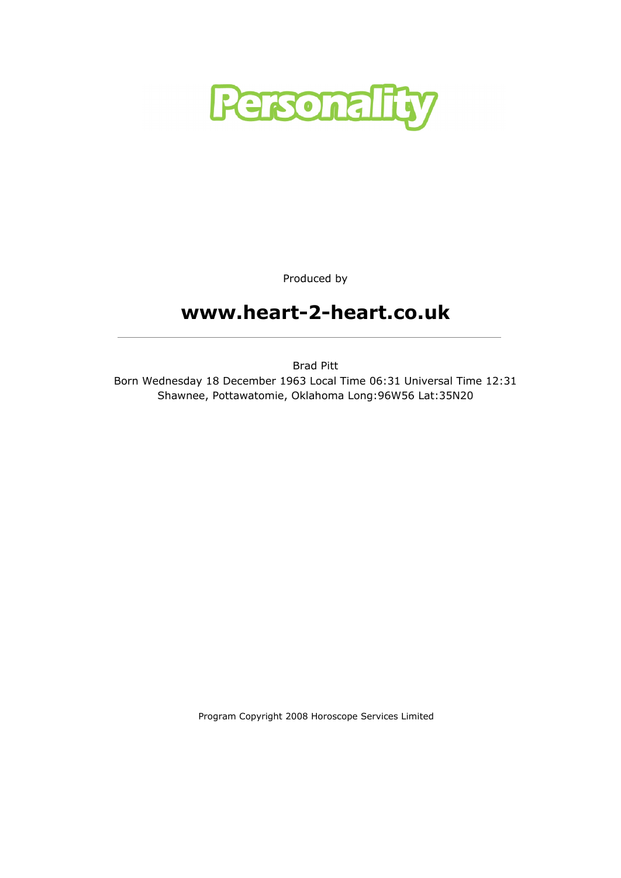

Produced by

# www.heart-2-heart.co.uk

Brad Pitt Born Wednesday 18 December 1963 Local Time 06:31 Universal Time 12:31 Shawnee, Pottawatomie, Oklahoma Long:96W56 Lat:35N20

Program Copyright 2008 Horoscope Services Limited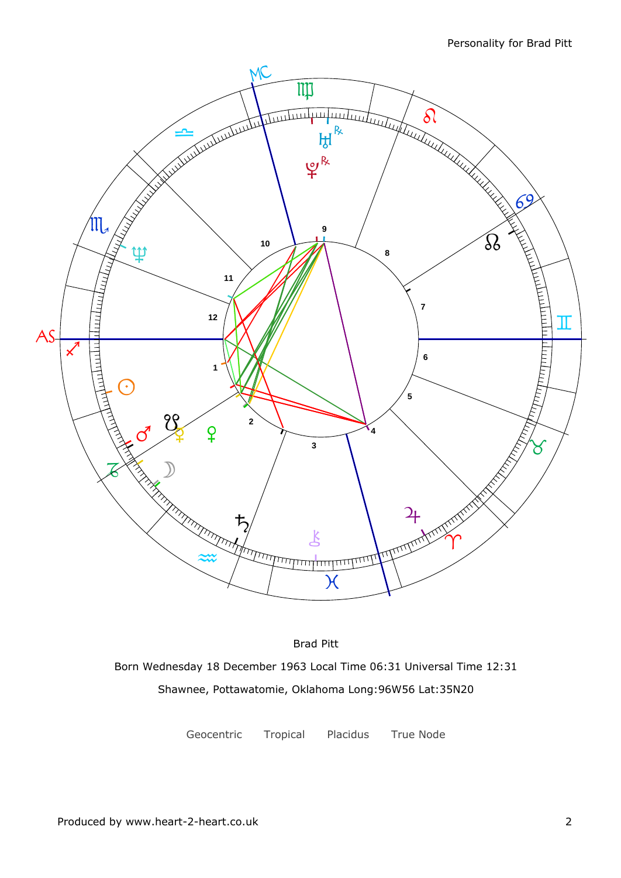

Brad Pitt Born Wednesday 18 December 1963 Local Time 06:31 Universal Time 12:31 Shawnee, Pottawatomie, Oklahoma Long:96W56 Lat:35N20

Geocentric Tropical Placidus True Node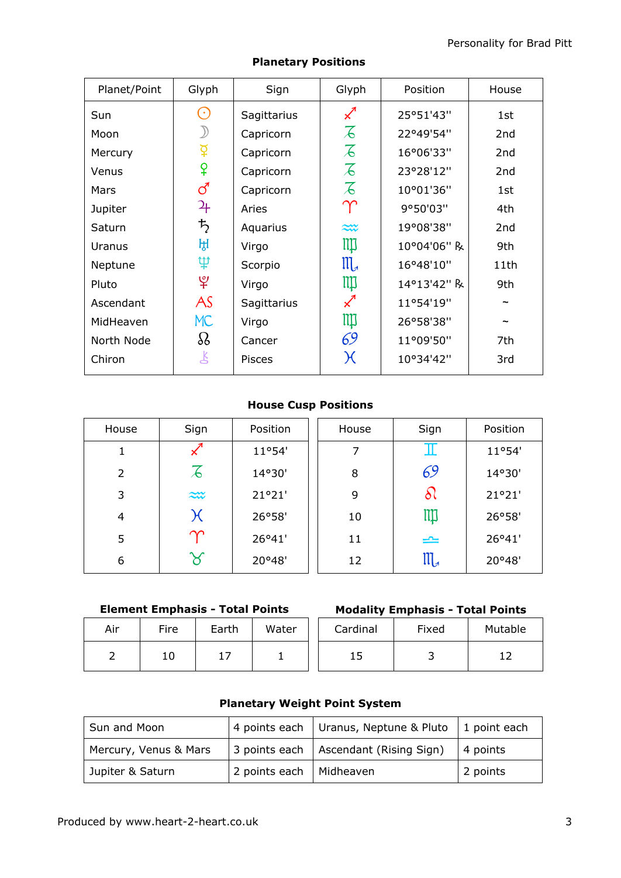| Planet/Point | Glyph                 | Sign          | Glyph                      | Position    |                 |
|--------------|-----------------------|---------------|----------------------------|-------------|-----------------|
| Sun          | $(\cdot)$             | Sagittarius   | $\boldsymbol{\mathcal{Z}}$ | 25°51'43"   | 1st             |
| Moon         |                       | Capricorn     | $\overline{\mathcal{L}}$   | 22°49'54"   | 2nd             |
| Mercury      |                       | Capricorn     | $\overline{\mathcal{L}}$   | 16°06'33"   | 2 <sub>nd</sub> |
| Venus        | ¥                     | Capricorn     | $\overline{\mathcal{L}}$   | 23°28'12"   | 2 <sub>nd</sub> |
| Mars         | ්                     | Capricorn     | $\overline{\mathcal{L}}$   | 10°01'36"   | 1st             |
| Jupiter      | 4                     | Aries         | $\Upsilon$                 | 9°50'03"    | 4th             |
| Saturn       | $\bm{\mathit{t}}_{2}$ | Aquarius      | $\approx$                  | 19°08'38"   | 2 <sub>nd</sub> |
| Uranus       | ਸ਼੍ਰ                  | Virgo         | Щ                          | 10°04'06" R | 9th             |
| Neptune      | ψ                     | Scorpio       | $\mathfrak{m}$             | 16°48'10"   | 11th            |
| Pluto        | ೪                     | Virgo         | Щ                          | 14°13'42" R | 9th             |
| Ascendant    | AS                    | Sagittarius   |                            | 11°54'19"   |                 |
| MidHeaven    | MC                    | Virgo         | Щ                          | 26°58'38"   |                 |
| North Node   | $\Omega$              | Cancer        | 69                         | 11°09'50"   | 7th             |
| Chiron       | Ŗ                     | <b>Pisces</b> | $\chi$                     | 10°34'42"   | 3rd             |
|              |                       |               |                            |             |                 |

### Planetary Positions

#### House Cusp Positions

| House          | Sign                     | Position | House | Sign                    | Position |
|----------------|--------------------------|----------|-------|-------------------------|----------|
| 1              |                          | 11°54'   | 7     | Ш                       | 11°54'   |
| $\overline{2}$ | $\overline{\mathcal{A}}$ | 14°30'   | 8     | 69                      | 14°30'   |
| 3              | $\approx$                | 21°21'   | 9     | ১৷                      | 21°21'   |
| 4              | $\chi$                   | 26°58'   | 10    | $\mathbb{I} \mathbb{I}$ | 26°58'   |
| 5              | $\boldsymbol{\gamma}$    | 26°41'   | 11    | $\rightleftharpoons$    | 26°41'   |
| 6              | $\rtimes$                | 20°48'   | 12    | $III_{\mathcal{A}}$     | 20°48'   |

#### Element Emphasis - Total Points

| Air | Fire | Earth | Water | Cardi |
|-----|------|-------|-------|-------|
|     | 10   | 17    |       | 15    |

| ire <sup>.</sup> | Earth | Water | Cardinal | Fixed | Mutable |  |  |
|------------------|-------|-------|----------|-------|---------|--|--|
| 10               |       |       | ⊥◡       |       |         |  |  |

### Planetary Weight Point System

| Sun and Moon          |                           | 4 points each Uranus, Neptune & Pluto $\vert$ 1 point each |             |
|-----------------------|---------------------------|------------------------------------------------------------|-------------|
| Mercury, Venus & Mars |                           | 3 points each   Ascendant (Rising Sign)                    | $ 4$ points |
| Jupiter & Saturn      | 2 points each   Midheaven |                                                            | 2 points    |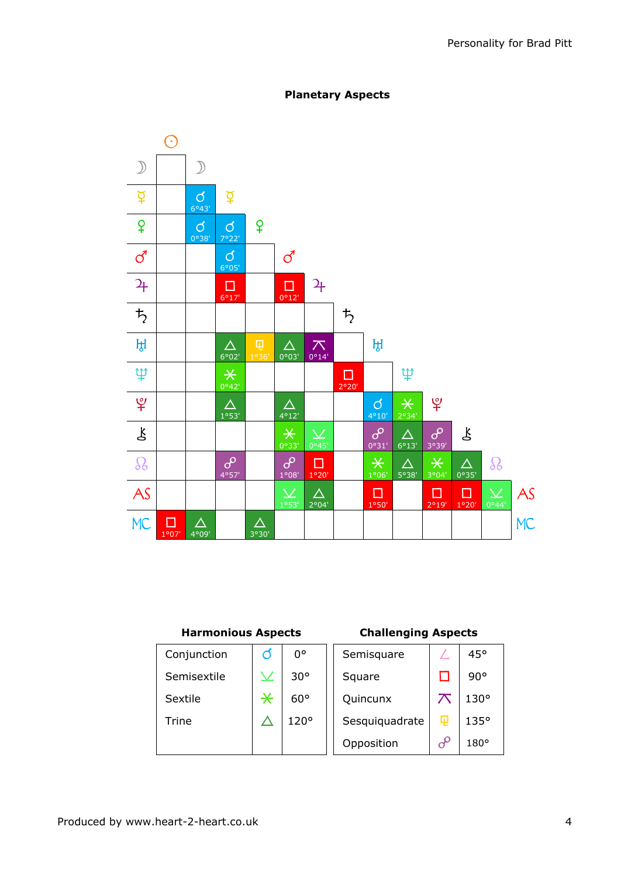

#### Planetary Aspects

#### Harmonious Aspects Challenging Aspects

| Conjunction |             | 0°           | Semisquare     |          | 45°         |
|-------------|-------------|--------------|----------------|----------|-------------|
| Semisextile | $\bm{\vee}$ | $30^{\circ}$ | Square         |          | 90°         |
| Sextile     | $\ast$      | $60^{\circ}$ | Quincunx       |          | $130^\circ$ |
| Trine       |             | 120°         | Sesquiquadrate | 曱        | 135°        |
|             |             |              | Opposition     | $\sigma$ | $180^\circ$ |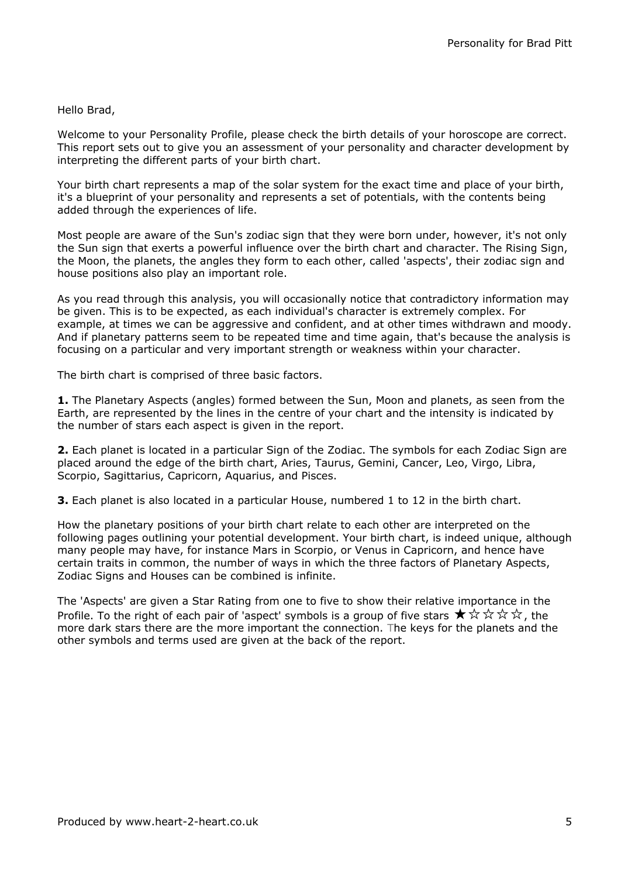#### Hello Brad,

Welcome to your Personality Profile, please check the birth details of your horoscope are correct. This report sets out to give you an assessment of your personality and character development by interpreting the different parts of your birth chart.

Your birth chart represents a map of the solar system for the exact time and place of your birth, it's a blueprint of your personality and represents a set of potentials, with the contents being added through the experiences of life.

Most people are aware of the Sun's zodiac sign that they were born under, however, it's not only the Sun sign that exerts a powerful influence over the birth chart and character. The Rising Sign, the Moon, the planets, the angles they form to each other, called 'aspects', their zodiac sign and house positions also play an important role.

As you read through this analysis, you will occasionally notice that contradictory information may be given. This is to be expected, as each individual's character is extremely complex. For example, at times we can be aggressive and confident, and at other times withdrawn and moody. And if planetary patterns seem to be repeated time and time again, that's because the analysis is focusing on a particular and very important strength or weakness within your character.

The birth chart is comprised of three basic factors.

**1.** The Planetary Aspects (angles) formed between the Sun, Moon and planets, as seen from the Earth, are represented by the lines in the centre of your chart and the intensity is indicated by the number of stars each aspect is given in the report.

2. Each planet is located in a particular Sign of the Zodiac. The symbols for each Zodiac Sign are placed around the edge of the birth chart, Aries, Taurus, Gemini, Cancer, Leo, Virgo, Libra, Scorpio, Sagittarius, Capricorn, Aquarius, and Pisces.

**3.** Each planet is also located in a particular House, numbered 1 to 12 in the birth chart.

How the planetary positions of your birth chart relate to each other are interpreted on the following pages outlining your potential development. Your birth chart, is indeed unique, although many people may have, for instance Mars in Scorpio, or Venus in Capricorn, and hence have certain traits in common, the number of ways in which the three factors of Planetary Aspects, Zodiac Signs and Houses can be combined is infinite.

The 'Aspects' are given a Star Rating from one to five to show their relative importance in the Profile. To the right of each pair of 'aspect' symbols is a group of five stars  $\star \times \star \star \star$ , the more dark stars there are the more important the connection. The keys for the planets and the other symbols and terms used are given at the back of the report.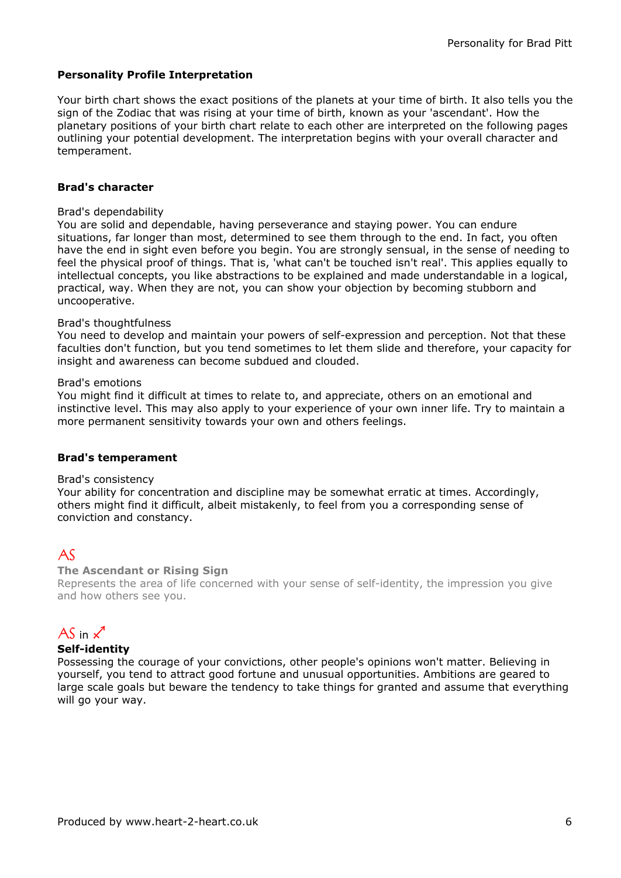#### Personality Profile Interpretation

Your birth chart shows the exact positions of the planets at your time of birth. It also tells you the sign of the Zodiac that was rising at your time of birth, known as your 'ascendant'. How the planetary positions of your birth chart relate to each other are interpreted on the following pages outlining your potential development. The interpretation begins with your overall character and temperament.

#### Brad's character

#### Brad's dependability

You are solid and dependable, having perseverance and staying power. You can endure situations, far longer than most, determined to see them through to the end. In fact, you often have the end in sight even before you begin. You are strongly sensual, in the sense of needing to feel the physical proof of things. That is, 'what can't be touched isn't real'. This applies equally to intellectual concepts, you like abstractions to be explained and made understandable in a logical, practical, way. When they are not, you can show your objection by becoming stubborn and uncooperative.

#### Brad's thoughtfulness

You need to develop and maintain your powers of self-expression and perception. Not that these faculties don't function, but you tend sometimes to let them slide and therefore, your capacity for insight and awareness can become subdued and clouded.

#### Brad's emotions

You might find it difficult at times to relate to, and appreciate, others on an emotional and instinctive level. This may also apply to your experience of your own inner life. Try to maintain a more permanent sensitivity towards your own and others feelings.

#### Brad's temperament

#### Brad's consistency

Your ability for concentration and discipline may be somewhat erratic at times. Accordingly, others might find it difficult, albeit mistakenly, to feel from you a corresponding sense of conviction and constancy.

### $AS$

#### The Ascendant or Rising Sign

Represents the area of life concerned with your sense of self-identity, the impression you give and how others see you.

### AS in  $\chi$ <sup>1</sup>

#### Self-identity

Possessing the courage of your convictions, other people's opinions won't matter. Believing in yourself, you tend to attract good fortune and unusual opportunities. Ambitions are geared to large scale goals but beware the tendency to take things for granted and assume that everything will go your way.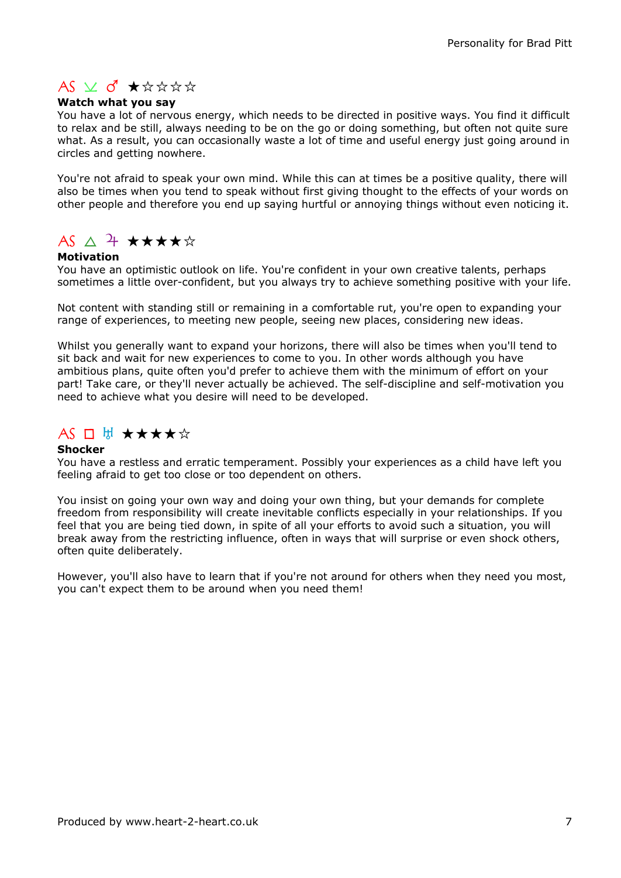### $AS \times d \star x$

#### Watch what you say

You have a lot of nervous energy, which needs to be directed in positive ways. You find it difficult to relax and be still, always needing to be on the go or doing something, but often not quite sure what. As a result, you can occasionally waste a lot of time and useful energy just going around in circles and getting nowhere.

You're not afraid to speak your own mind. While this can at times be a positive quality, there will also be times when you tend to speak without first giving thought to the effects of your words on other people and therefore you end up saying hurtful or annoying things without even noticing it.

# $AS \triangle 7$  \*\*\*\*\*

#### Motivation

You have an optimistic outlook on life. You're confident in your own creative talents, perhaps sometimes a little over-confident, but you always try to achieve something positive with your life.

Not content with standing still or remaining in a comfortable rut, you're open to expanding your range of experiences, to meeting new people, seeing new places, considering new ideas.

Whilst you generally want to expand your horizons, there will also be times when you'll tend to sit back and wait for new experiences to come to you. In other words although you have ambitious plans, quite often you'd prefer to achieve them with the minimum of effort on your part! Take care, or they'll never actually be achieved. The self-discipline and self-motivation you need to achieve what you desire will need to be developed.

### $AS \ \Box \ \mathbb{H} \ \star \star \star \star \star$

#### Shocker

You have a restless and erratic temperament. Possibly your experiences as a child have left you feeling afraid to get too close or too dependent on others.

You insist on going your own way and doing your own thing, but your demands for complete freedom from responsibility will create inevitable conflicts especially in your relationships. If you feel that you are being tied down, in spite of all your efforts to avoid such a situation, you will break away from the restricting influence, often in ways that will surprise or even shock others, often quite deliberately.

However, you'll also have to learn that if you're not around for others when they need you most, you can't expect them to be around when you need them!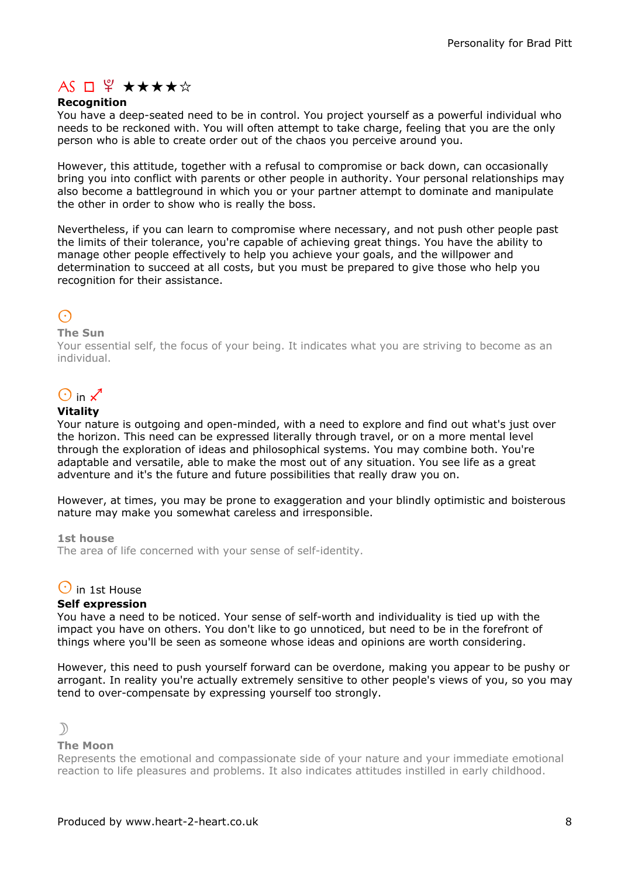## $AS \Box \n\mathcal{L} \star \star \star \star \star$

#### **Recognition**

You have a deep-seated need to be in control. You project yourself as a powerful individual who needs to be reckoned with. You will often attempt to take charge, feeling that you are the only person who is able to create order out of the chaos you perceive around you.

However, this attitude, together with a refusal to compromise or back down, can occasionally bring you into conflict with parents or other people in authority. Your personal relationships may also become a battleground in which you or your partner attempt to dominate and manipulate the other in order to show who is really the boss.

Nevertheless, if you can learn to compromise where necessary, and not push other people past the limits of their tolerance, you're capable of achieving great things. You have the ability to manage other people effectively to help you achieve your goals, and the willpower and determination to succeed at all costs, but you must be prepared to give those who help you recognition for their assistance.

### $\odot$

#### The Sun

Your essential self, the focus of your being. It indicates what you are striving to become as an individual.

# $\bigcirc$  in  $\mathcal{L}$

#### Vitality

Your nature is outgoing and open-minded, with a need to explore and find out what's just over the horizon. This need can be expressed literally through travel, or on a more mental level through the exploration of ideas and philosophical systems. You may combine both. You're adaptable and versatile, able to make the most out of any situation. You see life as a great adventure and it's the future and future possibilities that really draw you on.

However, at times, you may be prone to exaggeration and your blindly optimistic and boisterous nature may make you somewhat careless and irresponsible.

1st house

The area of life concerned with your sense of self-identity.

#### $\Theta$  in 1st House

#### Self expression

You have a need to be noticed. Your sense of self-worth and individuality is tied up with the impact you have on others. You don't like to go unnoticed, but need to be in the forefront of things where you'll be seen as someone whose ideas and opinions are worth considering.

However, this need to push yourself forward can be overdone, making you appear to be pushy or arrogant. In reality you're actually extremely sensitive to other people's views of you, so you may tend to over-compensate by expressing yourself too strongly.



#### The Moon

Represents the emotional and compassionate side of your nature and your immediate emotional reaction to life pleasures and problems. It also indicates attitudes instilled in early childhood.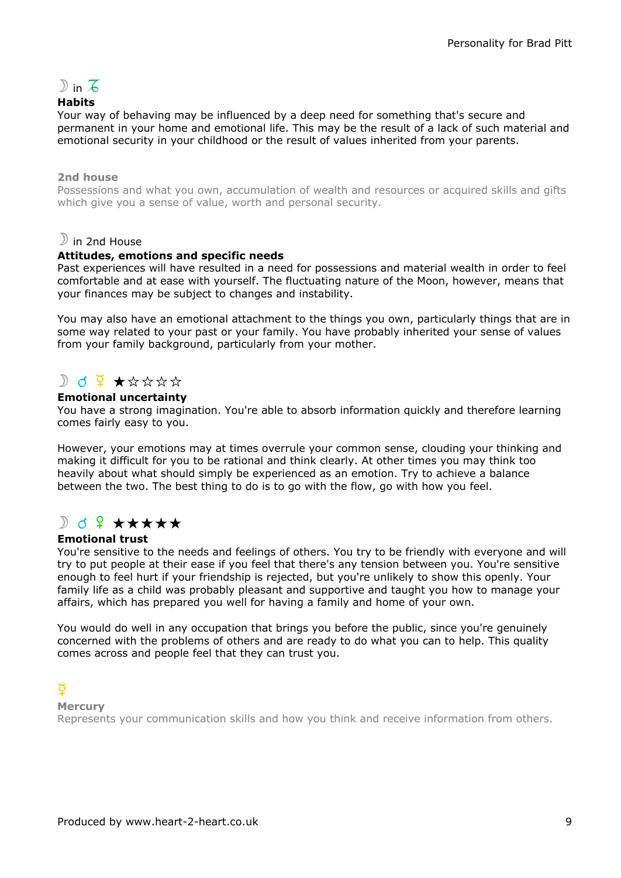

#### **Habits**

Your way of behaving may be influenced by a deep need for something that's secure and permanent in your home and emotional life. This may be the result of a lack of such material and emotional security in your childhood or the result of values inherited from your parents.

#### 2nd house

Possessions and what you own, accumulation of wealth and resources or acquired skills and gifts which give you a sense of value, worth and personal security.

#### $\mathcal D$  in 2nd House

#### Attitudes, emotions and specific needs

Past experiences will have resulted in a need for possessions and material wealth in order to feel comfortable and at ease with yourself. The fluctuating nature of the Moon, however, means that your finances may be subject to changes and instability.

You may also have an emotional attachment to the things you own, particularly things that are in some way related to your past or your family. You have probably inherited your sense of values from your family background, particularly from your mother.

### $D$  d  $9 + x x x x$

#### Emotional uncertainty

You have a strong imagination. You're able to absorb information quickly and therefore learning comes fairly easy to you.

However, your emotions may at times overrule your common sense, clouding your thinking and making it difficult for you to be rational and think clearly. At other times you may think too heavily about what should simply be experienced as an emotion. Try to achieve a balance between the two. The best thing to do is to go with the flow, go with how you feel.

### $\partial$  o  $\Omega$  \*\*\*\*\*

#### Emotional trust

You're sensitive to the needs and feelings of others. You try to be friendly with everyone and will try to put people at their ease if you feel that there's any tension between you. You're sensitive enough to feel hurt if your friendship is rejected, but you're unlikely to show this openly. Your family life as a child was probably pleasant and supportive and taught you how to manage your affairs, which has prepared you well for having a family and home of your own.

You would do well in any occupation that brings you before the public, since you're genuinely concerned with the problems of others and are ready to do what you can to help. This quality comes across and people feel that they can trust you.

#### d

#### **Mercury**

Represents your communication skills and how you think and receive information from others.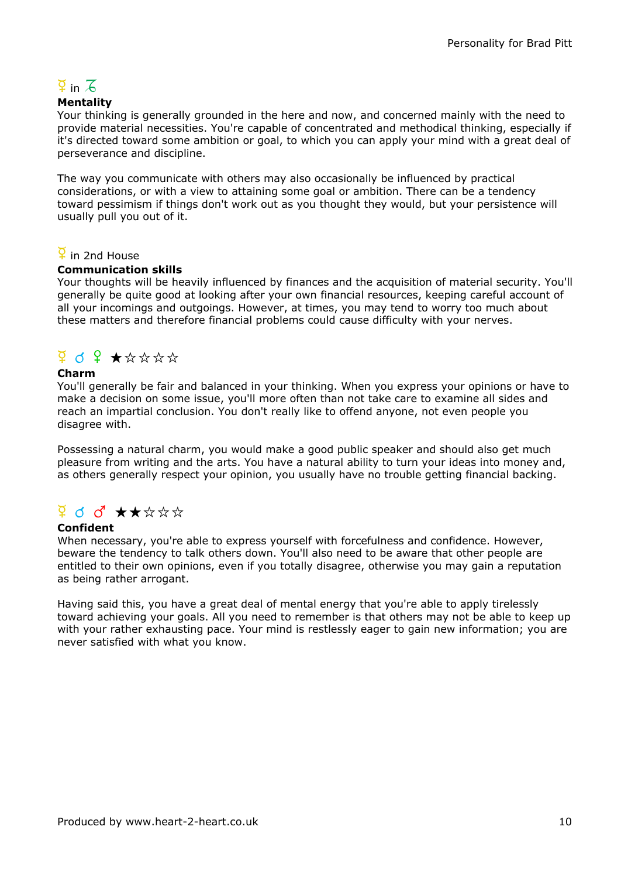# $\overline{2}$  in  $\overline{6}$

#### **Mentality**

Your thinking is generally grounded in the here and now, and concerned mainly with the need to provide material necessities. You're capable of concentrated and methodical thinking, especially if it's directed toward some ambition or goal, to which you can apply your mind with a great deal of perseverance and discipline.

The way you communicate with others may also occasionally be influenced by practical considerations, or with a view to attaining some goal or ambition. There can be a tendency toward pessimism if things don't work out as you thought they would, but your persistence will usually pull you out of it.

#### $\frac{8}{4}$  in 2nd House

#### Communication skills

Your thoughts will be heavily influenced by finances and the acquisition of material security. You'll generally be quite good at looking after your own financial resources, keeping careful account of all your incomings and outgoings. However, at times, you may tend to worry too much about these matters and therefore financial problems could cause difficulty with your nerves.

### d q f assss

#### Charm

You'll generally be fair and balanced in your thinking. When you express your opinions or have to make a decision on some issue, you'll more often than not take care to examine all sides and reach an impartial conclusion. You don't really like to offend anyone, not even people you disagree with.

Possessing a natural charm, you would make a good public speaker and should also get much pleasure from writing and the arts. You have a natural ability to turn your ideas into money and, as others generally respect your opinion, you usually have no trouble getting financial backing.

### $9$  d d<sup>2</sup>  $\star\star\star\star\star$

#### Confident

When necessary, you're able to express yourself with forcefulness and confidence. However, beware the tendency to talk others down. You'll also need to be aware that other people are entitled to their own opinions, even if you totally disagree, otherwise you may gain a reputation as being rather arrogant.

Having said this, you have a great deal of mental energy that you're able to apply tirelessly toward achieving your goals. All you need to remember is that others may not be able to keep up with your rather exhausting pace. Your mind is restlessly eager to gain new information; you are never satisfied with what you know.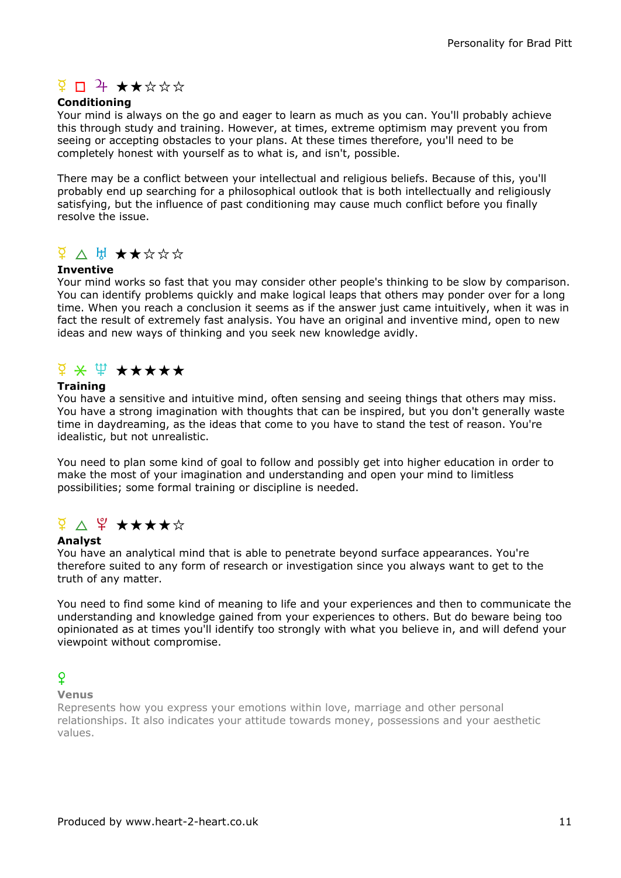### $\frac{9}{4}$  D + \*\*\*\*\*

#### **Conditioning**

Your mind is always on the go and eager to learn as much as you can. You'll probably achieve this through study and training. However, at times, extreme optimism may prevent you from seeing or accepting obstacles to your plans. At these times therefore, you'll need to be completely honest with yourself as to what is, and isn't, possible.

There may be a conflict between your intellectual and religious beliefs. Because of this, you'll probably end up searching for a philosophical outlook that is both intellectually and religiously satisfying, but the influence of past conditioning may cause much conflict before you finally resolve the issue.

### $\frac{d}{dx}$   $\wedge$  H  $\star$   $\star$   $\star$   $\star$   $\star$

#### Inventive

Your mind works so fast that you may consider other people's thinking to be slow by comparison. You can identify problems quickly and make logical leaps that others may ponder over for a long time. When you reach a conclusion it seems as if the answer just came intuitively, when it was in fact the result of extremely fast analysis. You have an original and inventive mind, open to new ideas and new ways of thinking and you seek new knowledge avidly.

### $\frac{d}{dx}$   $\frac{d}{dx}$   $\frac{d}{dx}$   $\frac{d}{dx}$   $\frac{d}{dx}$   $\frac{d}{dx}$   $\frac{d}{dx}$   $\frac{d}{dx}$

#### **Training**

You have a sensitive and intuitive mind, often sensing and seeing things that others may miss. You have a strong imagination with thoughts that can be inspired, but you don't generally waste time in daydreaming, as the ideas that come to you have to stand the test of reason. You're idealistic, but not unrealistic.

You need to plan some kind of goal to follow and possibly get into higher education in order to make the most of your imagination and understanding and open your mind to limitless possibilities; some formal training or discipline is needed.

## $\frac{d}{dx}$   $\Delta$   $\frac{d}{dx}$   $\star$   $\star$   $\star$   $\star$   $\star$

#### Analyst

You have an analytical mind that is able to penetrate beyond surface appearances. You're therefore suited to any form of research or investigation since you always want to get to the truth of any matter.

You need to find some kind of meaning to life and your experiences and then to communicate the understanding and knowledge gained from your experiences to others. But do beware being too opinionated as at times you'll identify too strongly with what you believe in, and will defend your viewpoint without compromise.

#### $\Omega$

Venus

Represents how you express your emotions within love, marriage and other personal relationships. It also indicates your attitude towards money, possessions and your aesthetic values.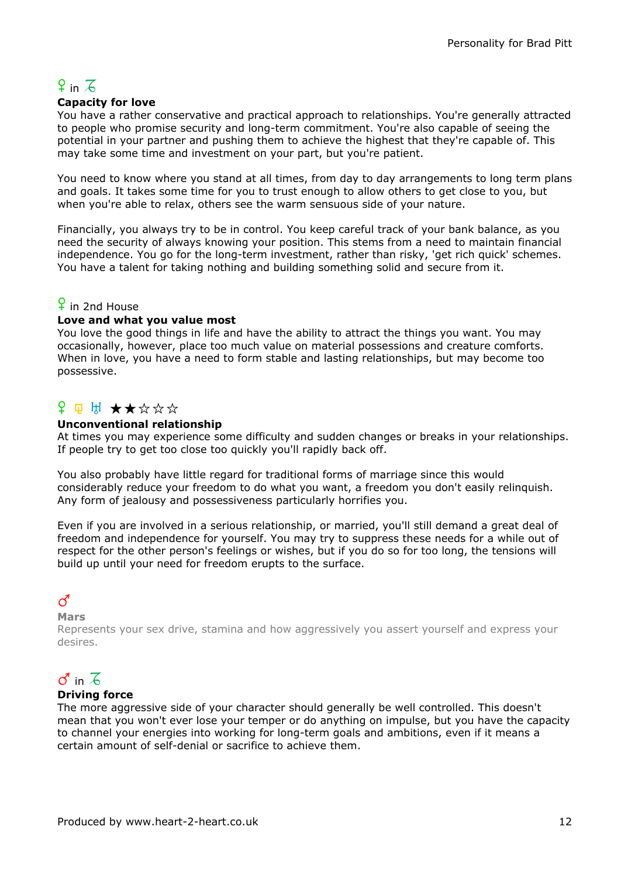# $9$  in  $7$

#### Capacity for love

You have a rather conservative and practical approach to relationships. You're generally attracted to people who promise security and long-term commitment. You're also capable of seeing the potential in your partner and pushing them to achieve the highest that they're capable of. This may take some time and investment on your part, but you're patient.

You need to know where you stand at all times, from day to day arrangements to long term plans and goals. It takes some time for you to trust enough to allow others to get close to you, but when you're able to relax, others see the warm sensuous side of your nature.

Financially, you always try to be in control. You keep careful track of your bank balance, as you need the security of always knowing your position. This stems from a need to maintain financial independence. You go for the long-term investment, rather than risky, 'get rich quick' schemes. You have a talent for taking nothing and building something solid and secure from it.

### $\frac{6}{5}$  in 2nd House

#### Love and what you value most

You love the good things in life and have the ability to attract the things you want. You may occasionally, however, place too much value on material possessions and creature comforts. When in love, you have a need to form stable and lasting relationships, but may become too possessive.

### $P \not\sqcup \mathbb{H}$   $\star \star \star \star \star$

#### Unconventional relationship

At times you may experience some difficulty and sudden changes or breaks in your relationships. If people try to get too close too quickly you'll rapidly back off.

You also probably have little regard for traditional forms of marriage since this would considerably reduce your freedom to do what you want, a freedom you don't easily relinquish. Any form of jealousy and possessiveness particularly horrifies you.

Even if you are involved in a serious relationship, or married, you'll still demand a great deal of freedom and independence for yourself. You may try to suppress these needs for a while out of respect for the other person's feelings or wishes, but if you do so for too long, the tensions will build up until your need for freedom erupts to the surface.

### $\vec{C}$

#### Mars

Represents your sex drive, stamina and how aggressively you assert yourself and express your desires.

# $\sigma$  in  $\overline{6}$

#### Driving force

The more aggressive side of your character should generally be well controlled. This doesn't mean that you won't ever lose your temper or do anything on impulse, but you have the capacity to channel your energies into working for long-term goals and ambitions, even if it means a certain amount of self-denial or sacrifice to achieve them.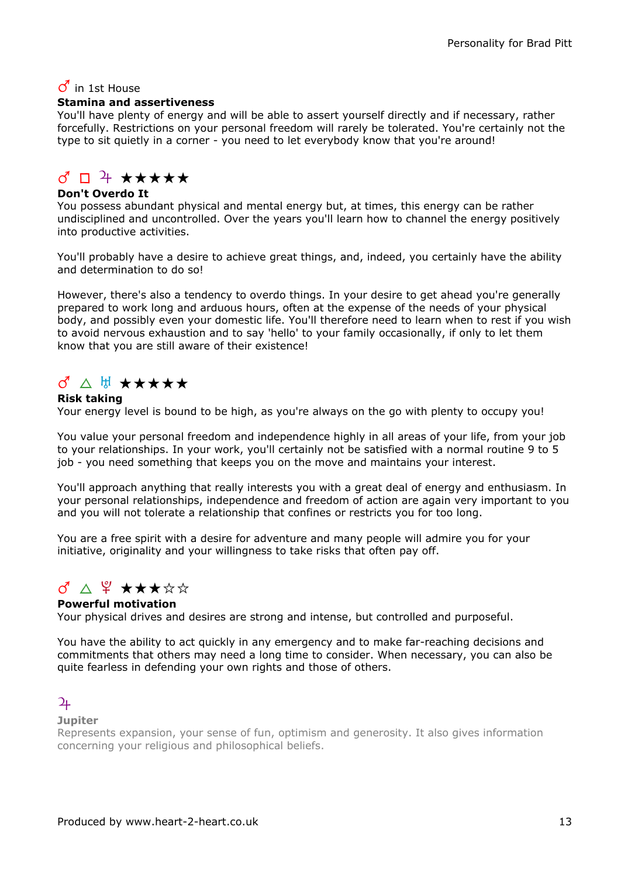### $\sigma$  in 1st House

#### Stamina and assertiveness

You'll have plenty of energy and will be able to assert yourself directly and if necessary, rather forcefully. Restrictions on your personal freedom will rarely be tolerated. You're certainly not the type to sit quietly in a corner - you need to let everybody know that you're around!

### $37 + 44 + 44$

#### Don't Overdo It

You possess abundant physical and mental energy but, at times, this energy can be rather undisciplined and uncontrolled. Over the years you'll learn how to channel the energy positively into productive activities.

You'll probably have a desire to achieve great things, and, indeed, you certainly have the ability and determination to do so!

However, there's also a tendency to overdo things. In your desire to get ahead you're generally prepared to work long and arduous hours, often at the expense of the needs of your physical body, and possibly even your domestic life. You'll therefore need to learn when to rest if you wish to avoid nervous exhaustion and to say 'hello' to your family occasionally, if only to let them know that you are still aware of their existence!

### $\sigma$   $\wedge$  H  $\star\star\star\star\star$

#### Risk taking

Your energy level is bound to be high, as you're always on the go with plenty to occupy you!

You value your personal freedom and independence highly in all areas of your life, from your job to your relationships. In your work, you'll certainly not be satisfied with a normal routine 9 to 5 job - you need something that keeps you on the move and maintains your interest.

You'll approach anything that really interests you with a great deal of energy and enthusiasm. In your personal relationships, independence and freedom of action are again very important to you and you will not tolerate a relationship that confines or restricts you for too long.

You are a free spirit with a desire for adventure and many people will admire you for your initiative, originality and your willingness to take risks that often pay off.

### $\sigma$   $\wedge$   $\mathcal{L}$   $\star$   $\star$   $\star$   $\star$   $\star$

#### Powerful motivation

Your physical drives and desires are strong and intense, but controlled and purposeful.

You have the ability to act quickly in any emergency and to make far-reaching decisions and commitments that others may need a long time to consider. When necessary, you can also be quite fearless in defending your own rights and those of others.

#### $\overline{2}$

#### **Jupiter**

Represents expansion, your sense of fun, optimism and generosity. It also gives information concerning your religious and philosophical beliefs.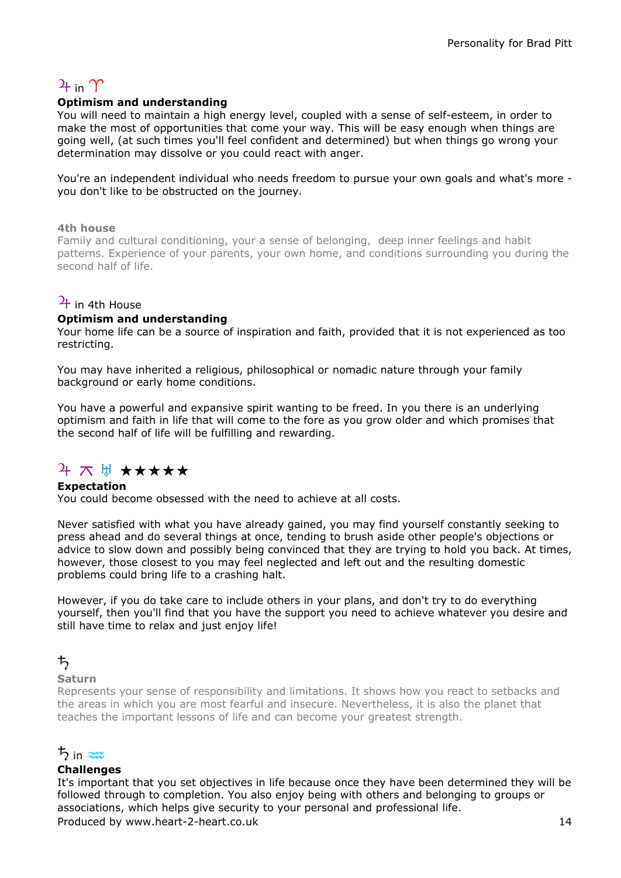# $2<sub>1</sub>$  in  $\gamma$

#### Optimism and understanding

You will need to maintain a high energy level, coupled with a sense of self-esteem, in order to make the most of opportunities that come your way. This will be easy enough when things are going well, (at such times you'll feel confident and determined) but when things go wrong your determination may dissolve or you could react with anger.

You're an independent individual who needs freedom to pursue your own goals and what's more you don't like to be obstructed on the journey.

#### 4th house

Family and cultural conditioning, your a sense of belonging, deep inner feelings and habit patterns. Experience of your parents, your own home, and conditions surrounding you during the second half of life.

### $\frac{1}{4}$  in 4th House

#### Optimism and understanding

Your home life can be a source of inspiration and faith, provided that it is not experienced as too restricting.

You may have inherited a religious, philosophical or nomadic nature through your family background or early home conditions.

You have a powerful and expansive spirit wanting to be freed. In you there is an underlying optimism and faith in life that will come to the fore as you grow older and which promises that the second half of life will be fulfilling and rewarding.

### $4 \times 7$   $+$   $+$   $+$   $+$   $+$   $+$

#### Expectation

You could become obsessed with the need to achieve at all costs.

Never satisfied with what you have already gained, you may find yourself constantly seeking to press ahead and do several things at once, tending to brush aside other people's objections or advice to slow down and possibly being convinced that they are trying to hold you back. At times, however, those closest to you may feel neglected and left out and the resulting domestic problems could bring life to a crashing halt.

However, if you do take care to include others in your plans, and don't try to do everything yourself, then you'll find that you have the support you need to achieve whatever you desire and still have time to relax and just enjoy life!

#### $t$

#### Saturn

Represents your sense of responsibility and limitations. It shows how you react to setbacks and the areas in which you are most fearful and insecure. Nevertheless, it is also the planet that teaches the important lessons of life and can become your greatest strength.

#### $\frac{1}{2}$  in  $\approx$

#### Challenges

It's important that you set objectives in life because once they have been determined they will be followed through to completion. You also enjoy being with others and belonging to groups or associations, which helps give security to your personal and professional life. Produced by www.heart-2-heart.co.uk 14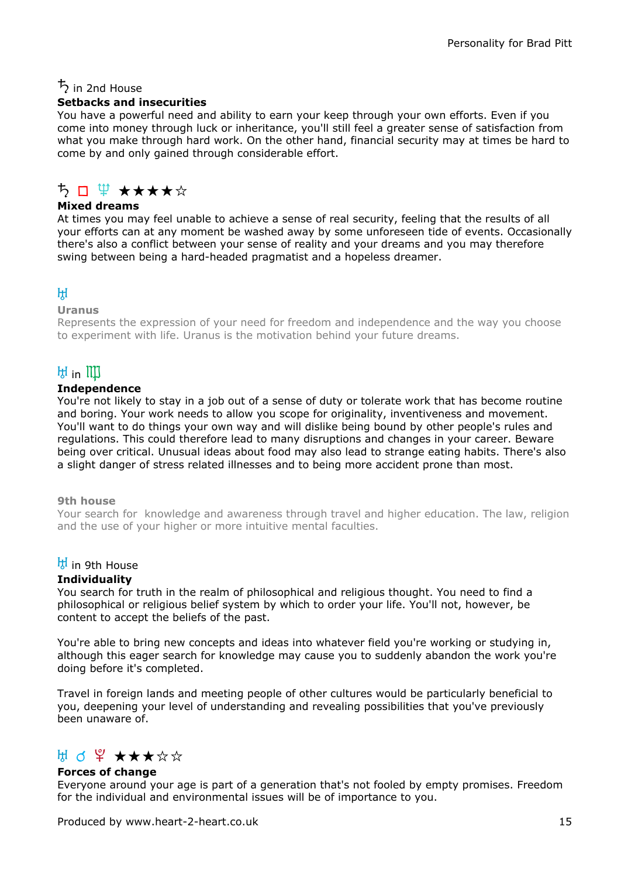### $\frac{1}{2}$  in 2nd House

#### Setbacks and insecurities

You have a powerful need and ability to earn your keep through your own efforts. Even if you come into money through luck or inheritance, you'll still feel a greater sense of satisfaction from what you make through hard work. On the other hand, financial security may at times be hard to come by and only gained through considerable effort.

### ゟヿ<del>゙</del>゙゙<del>゙</del>゙゙゙゙゚゚<del>゙</del>

#### Mixed dreams

At times you may feel unable to achieve a sense of real security, feeling that the results of all your efforts can at any moment be washed away by some unforeseen tide of events. Occasionally there's also a conflict between your sense of reality and your dreams and you may therefore swing between being a hard-headed pragmatist and a hopeless dreamer.

#### $H$

#### Uranus

Represents the expression of your need for freedom and independence and the way you choose to experiment with life. Uranus is the motivation behind your future dreams.

### $H$  in  $III$

#### Independence

You're not likely to stay in a job out of a sense of duty or tolerate work that has become routine and boring. Your work needs to allow you scope for originality, inventiveness and movement. You'll want to do things your own way and will dislike being bound by other people's rules and regulations. This could therefore lead to many disruptions and changes in your career. Beware being over critical. Unusual ideas about food may also lead to strange eating habits. There's also a slight danger of stress related illnesses and to being more accident prone than most.

#### 9th house

Your search for knowledge and awareness through travel and higher education. The law, religion and the use of your higher or more intuitive mental faculties.

### $\frac{H}{d}$  in 9th House

#### **Individuality**

You search for truth in the realm of philosophical and religious thought. You need to find a philosophical or religious belief system by which to order your life. You'll not, however, be content to accept the beliefs of the past.

You're able to bring new concepts and ideas into whatever field you're working or studying in, although this eager search for knowledge may cause you to suddenly abandon the work you're doing before it's completed.

Travel in foreign lands and meeting people of other cultures would be particularly beneficial to you, deepening your level of understanding and revealing possibilities that you've previously been unaware of.

### $H d \nsubseteq X \star \star \star \star \star$

#### Forces of change

Everyone around your age is part of a generation that's not fooled by empty promises. Freedom for the individual and environmental issues will be of importance to you.

Produced by www.heart-2-heart.co.uk 15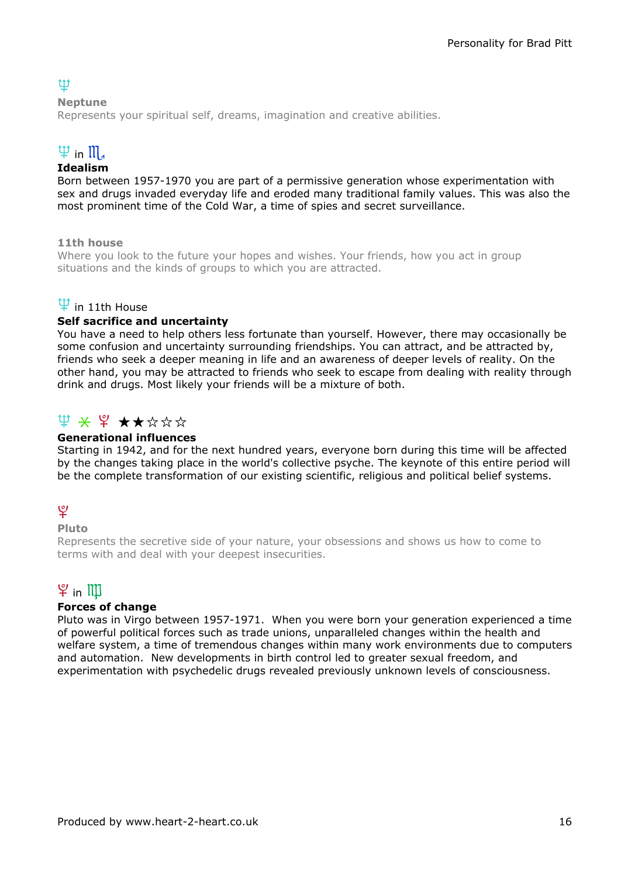### tt

#### Neptune

Represents your spiritual self, dreams, imagination and creative abilities.

# $\Psi$  in  $\mathfrak{m}$ .

### Idealism

Born between 1957-1970 you are part of a permissive generation whose experimentation with sex and drugs invaded everyday life and eroded many traditional family values. This was also the most prominent time of the Cold War, a time of spies and secret surveillance.

11th house

Where you look to the future your hopes and wishes. Your friends, how you act in group situations and the kinds of groups to which you are attracted.

### $\Psi$  in 11th House

#### Self sacrifice and uncertainty

You have a need to help others less fortunate than yourself. However, there may occasionally be some confusion and uncertainty surrounding friendships. You can attract, and be attracted by, friends who seek a deeper meaning in life and an awareness of deeper levels of reality. On the other hand, you may be attracted to friends who seek to escape from dealing with reality through drink and drugs. Most likely your friends will be a mixture of both.

### $\mathfrak{P} \times \mathfrak{P} \star \star \star \star \star$

#### Generational influences

Starting in 1942, and for the next hundred years, everyone born during this time will be affected by the changes taking place in the world's collective psyche. The keynote of this entire period will be the complete transformation of our existing scientific, religious and political belief systems.

### $\mathfrak{L}$

#### Pluto

Represents the secretive side of your nature, your obsessions and shows us how to come to terms with and deal with your deepest insecurities.

### $\mathfrak{P}$  in  $\mathbb I\mathbb I$

#### Forces of change

Pluto was in Virgo between 1957-1971. When you were born your generation experienced a time of powerful political forces such as trade unions, unparalleled changes within the health and welfare system, a time of tremendous changes within many work environments due to computers and automation. New developments in birth control led to greater sexual freedom, and experimentation with psychedelic drugs revealed previously unknown levels of consciousness.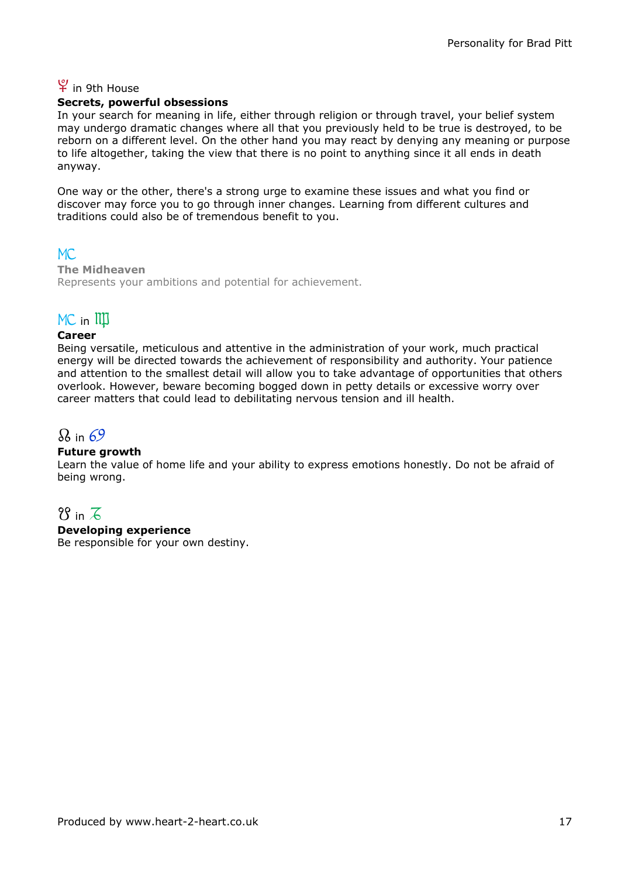### ; in 9th House

#### Secrets, powerful obsessions

In your search for meaning in life, either through religion or through travel, your belief system may undergo dramatic changes where all that you previously held to be true is destroyed, to be reborn on a different level. On the other hand you may react by denying any meaning or purpose to life altogether, taking the view that there is no point to anything since it all ends in death anyway.

One way or the other, there's a strong urge to examine these issues and what you find or discover may force you to go through inner changes. Learning from different cultures and traditions could also be of tremendous benefit to you.

 $MC$ The Midheaven Represents your ambitions and potential for achievement.

### $MC$  in  $III$

#### Career

Being versatile, meticulous and attentive in the administration of your work, much practical energy will be directed towards the achievement of responsibility and authority. Your patience and attention to the smallest detail will allow you to take advantage of opportunities that others overlook. However, beware becoming bogged down in petty details or excessive worry over career matters that could lead to debilitating nervous tension and ill health.

### $\Omega$  in 69

#### Future growth

Learn the value of home life and your ability to express emotions honestly. Do not be afraid of being wrong.

### $8$  in  $\overline{6}$

#### Developing experience

Be responsible for your own destiny.